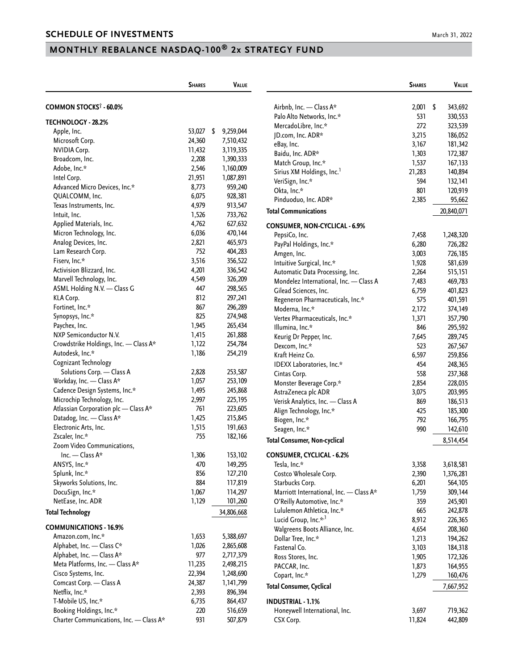# **MONTHLY REBALANCE NASDAQ-100® 2x STRATEGY FUND**

|                                                | <b>SHARES</b>    | <b>VALUE</b>           |                                         | <b>SHARES</b> | <b>VALUE</b> |
|------------------------------------------------|------------------|------------------------|-----------------------------------------|---------------|--------------|
| COMMON STOCKS <sup>†</sup> - 60.0%             |                  |                        | Airbnb, Inc. - Class A*                 | $2,001$ \$    | 343,692      |
|                                                |                  |                        | Palo Alto Networks, Inc.*               | 531           | 330,553      |
| TECHNOLOGY - 28.2%                             |                  |                        | MercadoLibre, Inc.*                     | 272           | 323,539      |
| Apple, Inc.                                    | $53,027$ \$      | 9,259,044              | JD.com, Inc. ADR*                       | 3,215         | 186,052      |
| Microsoft Corp.                                | 24,360           | 7,510,432              | eBay, Inc.                              | 3,167         | 181,342      |
| <b>NVIDIA Corp.</b>                            | 11,432           | 3,119,335              | Baidu, Inc. ADR*                        | 1,303         | 172,387      |
| Broadcom, Inc.                                 | 2,208            | 1,390,333              | Match Group, Inc.*                      | 1,537         | 167,133      |
| Adobe, Inc.*                                   | 2,546            | 1,160,009              | Sirius XM Holdings, Inc. <sup>1</sup>   | 21,283        | 140,894      |
| Intel Corp.                                    | 21,951           | 1,087,891              | VeriSign, Inc.*                         | 594           | 132,141      |
| Advanced Micro Devices, Inc.*                  | 8,773            | 959,240                | Okta, Inc.*                             | 801           | 120,919      |
| QUALCOMM, Inc.                                 | 6,075            | 928,381                | Pinduoduo, Inc. ADR*                    | 2,385         | 95,662       |
| Texas Instruments, Inc.                        | 4,979            | 913,547                | <b>Total Communications</b>             |               |              |
| Intuit, Inc.                                   | 1,526            | 733,762                |                                         |               | 20,840,071   |
| Applied Materials, Inc.                        | 4,762            | 627,632                | <b>CONSUMER, NON-CYCLICAL - 6.9%</b>    |               |              |
| Micron Technology, Inc.                        | 6,036            | 470,144                | PepsiCo, Inc.                           | 7,458         | 1,248,320    |
| Analog Devices, Inc.                           | 2,821            | 465,973                | PayPal Holdings, Inc.*                  | 6,280         | 726,282      |
| Lam Research Corp.                             | 752              | 404,283                | Amgen, Inc.                             | 3,003         | 726,185      |
| Fiserv, Inc.*                                  | 3,516            | 356,522                | Intuitive Surgical, Inc.*               | 1,928         | 581,639      |
| Activision Blizzard, Inc.                      | 4,201            | 336,542                | Automatic Data Processing, Inc.         | 2,264         | 515,151      |
| Marvell Technology, Inc.                       | 4,549            | 326,209                | Mondelez International, Inc. - Class A  | 7,483         | 469,783      |
| ASML Holding N.V. - Class G                    | 447              | 298,565                | Gilead Sciences, Inc.                   | 6,759         | 401,823      |
| KLA Corp.                                      | 812              | 297,241                | Regeneron Pharmaceuticals, Inc.*        | 575           | 401,591      |
| Fortinet, Inc.*                                | 867              | 296,289                | Moderna, Inc.*                          | 2,172         | 374,149      |
| Synopsys, Inc.*                                | 825              | 274,948                | Vertex Pharmaceuticals, Inc.*           | 1,371         | 357,790      |
| Paychex, Inc.                                  | 1,945            | 265,434                | Illumina, Inc.*                         | 846           | 295,592      |
| NXP Semiconductor N.V.                         | 1,415            | 261,888                | Keurig Dr Pepper, Inc.                  | 7,645         | 289,745      |
| Crowdstrike Holdings, Inc. - Class A*          | 1,122            | 254,784                |                                         | 523           | 267,567      |
| Autodesk, Inc.*                                | 1,186            | 254,219                | Dexcom, Inc.*<br>Kraft Heinz Co.        | 6,597         |              |
| Cognizant Technology                           |                  |                        |                                         | 454           | 259,856      |
| Solutions Corp. - Class A                      | 2,828            | 253,587                | IDEXX Laboratories, Inc.*               | 558           | 248,365      |
| Workday, Inc. - Class A*                       | 1,057            | 253,109                | Cintas Corp.                            |               | 237,368      |
| Cadence Design Systems, Inc.*                  | 1,495            | 245,868                | Monster Beverage Corp.*                 | 2,854         | 228,035      |
| Microchip Technology, Inc.                     | 2,997            | 225,195                | AstraZeneca plc ADR                     | 3,075         | 203,995      |
| Atlassian Corporation plc - Class A*           | 761              | 223,605                | Verisk Analytics, Inc. - Class A        | 869           | 186,513      |
| Datadog, Inc. - Class A*                       | 1,425            | 215,845                | Align Technology, Inc.*                 | 425           | 185,300      |
| Electronic Arts, Inc.                          | 1,515            | 191,663                | Biogen, Inc.*                           | 792           | 166,795      |
| Zscaler, Inc.*                                 | 755              | 182,166                | Seagen, Inc.*                           | 990           | 142,610      |
| Zoom Video Communications,                     |                  |                        | <b>Total Consumer, Non-cyclical</b>     |               | 8,514,454    |
| Inc. — Class $A^*$                             | 1,306            | 153,102                | <b>CONSUMER, CYCLICAL - 6.2%</b>        |               |              |
| ANSYS, Inc.*                                   | 470              | 149,295                | Tesla, Inc.*                            | 3,358         | 3,618,581    |
| Splunk, Inc.*                                  | 856              | 127,210                | Costco Wholesale Corp.                  | 2,390         | 1,376,281    |
| Skyworks Solutions, Inc.                       | 884              | 117,819                | Starbucks Corp.                         | 6,201         | 564,105      |
| DocuSign, Inc.*                                | 1,067            | 114,297                | Marriott International, Inc. - Class A* | 1,759         | 309,144      |
| NetEase, Inc. ADR                              | 1,129            | 101,260                | O'Reilly Automotive, Inc.*              | 359           | 245,901      |
|                                                |                  |                        | Lululemon Athletica, Inc.*              | 665           | 242,878      |
| <b>Total Technology</b>                        |                  | 34,806,668             | Lucid Group, Inc.* <sup>,1</sup>        |               |              |
| <b>COMMUNICATIONS - 16.9%</b>                  |                  |                        |                                         | 8,912         | 226,365      |
| Amazon.com, Inc.*                              | 1,653            | 5,388,697              | Walgreens Boots Alliance, Inc.          | 4,654         | 208,360      |
| Alphabet, Inc. - Class C*                      | 1,026            | 2,865,608              | Dollar Tree, Inc.*                      | 1,213         | 194,262      |
| Alphabet, Inc. - Class A*                      | 977              | 2,717,379              | Fastenal Co.                            | 3,103         | 184,318      |
| Meta Platforms, Inc. - Class A*                | 11,235           | 2,498,215              | Ross Stores, Inc.                       | 1,905         | 172,326      |
|                                                |                  |                        | PACCAR, Inc.                            | 1,873         | 164,955      |
| Cisco Systems, Inc.<br>Comcast Corp. - Class A | 22,394<br>24,387 | 1,248,690<br>1,141,799 | Copart, Inc.*                           | 1,279         | 160,476      |
| Netflix, Inc.*                                 | 2,393            | 896,394                | <b>Total Consumer, Cyclical</b>         |               | 7,667,952    |
| T-Mobile US, Inc.*                             | 6,735            | 864,437                | <b>INDUSTRIAL - 1.1%</b>                |               |              |
| Booking Holdings, Inc.*                        | 220              |                        |                                         |               |              |
|                                                |                  | 516,659                | Honeywell International, Inc.           | 3,697         | 719,362      |
| Charter Communications, Inc. - Class A*        | 931              | 507,879                | CSX Corp.                               | 11,824        | 442,809      |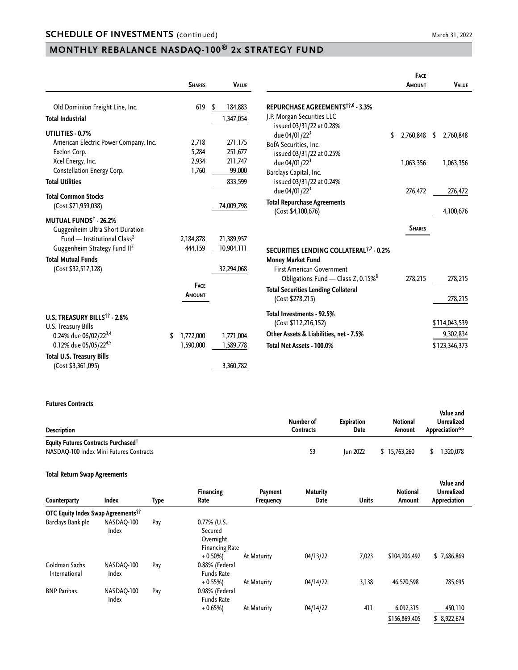## **MONTHLY REBALANCE NASDAQ-100® 2x STRATEGY FUND**

|                                                | <b>SHARES</b>   | <b>VALUE</b> |                                                | FACE<br>AMOUNT | <b>VALUE</b>    |
|------------------------------------------------|-----------------|--------------|------------------------------------------------|----------------|-----------------|
| Old Dominion Freight Line, Inc.                | 619             | 184,883<br>S | REPURCHASE AGREEMENTS <sup>11,6</sup> - 3.3%   |                |                 |
| <b>Total Industrial</b>                        |                 | 1,347,054    | J.P. Morgan Securities LLC                     |                |                 |
|                                                |                 |              | issued 03/31/22 at 0.28%                       |                |                 |
| UTILITIES - 0.7%                               |                 |              | due 04/01/22 <sup>3</sup><br>\$                | 2,760,848      | \$<br>2,760,848 |
| American Electric Power Company, Inc.          | 2,718           | 271,175      | BofA Securities, Inc.                          |                |                 |
| Exelon Corp.                                   | 5,284           | 251,677      | issued 03/31/22 at 0.25%                       |                |                 |
| Xcel Energy, Inc.                              | 2,934           | 211,747      | due 04/01/22 <sup>3</sup>                      | 1,063,356      | 1,063,356       |
| Constellation Energy Corp.                     | 1,760           | 99,000       | Barclays Capital, Inc.                         |                |                 |
| <b>Total Utilities</b>                         |                 | 833,599      | issued 03/31/22 at 0.24%                       |                |                 |
|                                                |                 |              | due 04/01/22 <sup>3</sup>                      | 276,472        | 276,472         |
| <b>Total Common Stocks</b>                     |                 |              | <b>Total Repurchase Agreements</b>             |                |                 |
| (Cost \$71,959,038)                            |                 | 74,009,798   | (Cost \$4,100,676)                             |                | 4,100,676       |
| MUTUAL FUNDS <sup>†</sup> - 26.2%              |                 |              |                                                |                |                 |
| Guggenheim Ultra Short Duration                |                 |              |                                                | <b>SHARES</b>  |                 |
| Fund — Institutional Class <sup>2</sup>        | 2,184,878       | 21,389,957   |                                                |                |                 |
| Guggenheim Strategy Fund II <sup>2</sup>       | 444,159         | 10,904,111   | SECURITIES LENDING COLLATERAL 1,7 - 0.2%       |                |                 |
| <b>Total Mutual Funds</b>                      |                 |              | <b>Money Market Fund</b>                       |                |                 |
| (Cost \$32,517,128)                            |                 | 32,294,068   | <b>First American Government</b>               |                |                 |
|                                                |                 |              |                                                |                |                 |
|                                                | FACE            |              | Obligations Fund - Class Z, 0.15% <sup>8</sup> | 278,215        | 278,215         |
|                                                | <b>AMOUNT</b>   |              | <b>Total Securities Lending Collateral</b>     |                |                 |
|                                                |                 |              | (Cost \$278,215)                               |                | 278,215         |
|                                                |                 |              | Total Investments - 92.5%                      |                |                 |
| <b>U.S. TREASURY BILLS<sup>11</sup> - 2.8%</b> |                 |              | (Cost \$112,216,152)                           |                | \$114,043,539   |
| U.S. Treasury Bills                            |                 |              |                                                |                |                 |
| 0.24% due 06/02/22 <sup>3,4</sup>              | 1,772,000<br>\$ | 1,771,004    | Other Assets & Liabilities, net - 7.5%         |                | 9,302,834       |
| 0.12% due 05/05/224,5                          | 1,590,000       | 1,589,778    | Total Net Assets - 100.0%                      |                | \$123,346,373   |
| <b>Total U.S. Treasury Bills</b>               |                 |              |                                                |                |                 |
| (Cost \$3,361,095)                             |                 | 3,360,782    |                                                |                |                 |

#### **Futures Contracts**

| <b>Description</b>                                                                                | Number of<br>Contracts | <b>Expiration</b><br>Date | <b>Notional</b><br>Amount | Value and<br><b>Unrealized</b><br>Appreciation** |
|---------------------------------------------------------------------------------------------------|------------------------|---------------------------|---------------------------|--------------------------------------------------|
| <b>Equity Futures Contracts Purchased</b> <sup>?</sup><br>NASDAO-100 Index Mini Futures Contracts | 53                     | <b>Iun 2022</b>           | \$15,763,260              | 1.320.078                                        |

#### **Total Return Swap Agreements**

| Counterparty                                          | <b>Index</b>        | Type | <b>Financing</b><br>Rate                                     | Payment<br>Frequency | <b>Maturity</b><br>Date | <b>Units</b> | <b>Notional</b><br>Amount  | Value and<br><b>Unrealized</b><br>Appreciation |
|-------------------------------------------------------|---------------------|------|--------------------------------------------------------------|----------------------|-------------------------|--------------|----------------------------|------------------------------------------------|
| <b>OTC Equity Index Swap Agreements</b> <sup>11</sup> |                     |      |                                                              |                      |                         |              |                            |                                                |
| Barclays Bank plc                                     | NASDAO-100<br>Index | Pay  | 0.77% (U.S.<br>Secured<br>Overnight<br><b>Financing Rate</b> |                      |                         |              |                            |                                                |
| Goldman Sachs<br>International                        | NASDAO-100<br>Index | Pay  | $+0.50%$<br>0.88% (Federal<br><b>Funds Rate</b>              | At Maturity          | 04/13/22                | 7,023        | \$104,206,492              | \$7,686,869                                    |
| <b>BNP Paribas</b>                                    | NASDAQ-100<br>Index | Pay  | $+0.55%$<br>0.98% (Federal<br><b>Funds Rate</b>              | At Maturity          | 04/14/22                | 3,138        | 46,570,598                 | 785,695                                        |
|                                                       |                     |      | $+0.65%$                                                     | At Maturity          | 04/14/22                | 411          | 6,092,315<br>\$156,869,405 | 450,110<br>\$8,922,674                         |